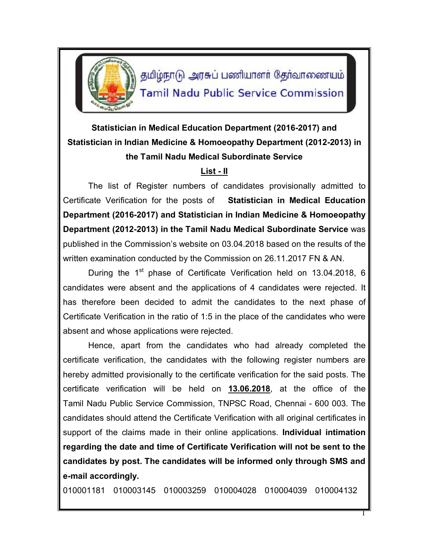

தமிழ்நாடு அரசுப் பணியாளர் தேர்வாணையம் **Tamil Nadu Public Service Commission** 

## **Statistician in Medical Education Department (2016-2017) and Statistician in Indian Medicine & Homoeopathy Department (2012-2013) in the Tamil Nadu Medical Subordinate Service**

## **List - II**

The list of Register numbers of candidates provisionally admitted to Certificate Verification for the posts of **Statistician in Medical Education Department (2016-2017) and Statistician in Indian Medicine & Homoeopathy Department (2012-2013) in the Tamil Nadu Medical Subordinate Service** was published in the Commission's website on 03.04.2018 based on the results of the written examination conducted by the Commission on 26.11.2017 FN & AN.

During the 1<sup>st</sup> phase of Certificate Verification held on 13.04.2018, 6 candidates were absent and the applications of 4 candidates were rejected. It has therefore been decided to admit the candidates to the next phase of Certificate Verification in the ratio of 1:5 in the place of the candidates who were absent and whose applications were rejected.

Hence, apart from the candidates who had already completed the certificate verification, the candidates with the following register numbers are hereby admitted provisionally to the certificate verification for the said posts. The certificate verification will be held on **13.06.2018**, at the office of the Tamil Nadu Public Service Commission, TNPSC Road, Chennai - 600 003. The candidates should attend the Certificate Verification with all original certificates in support of the claims made in their online applications. **Individual intimation regarding the date and time of Certificate Verification will not be sent to the candidates by post. The candidates will be informed only through SMS and e-mail accordingly.**

010001181 010003145 010003259 010004028 010004039 010004132